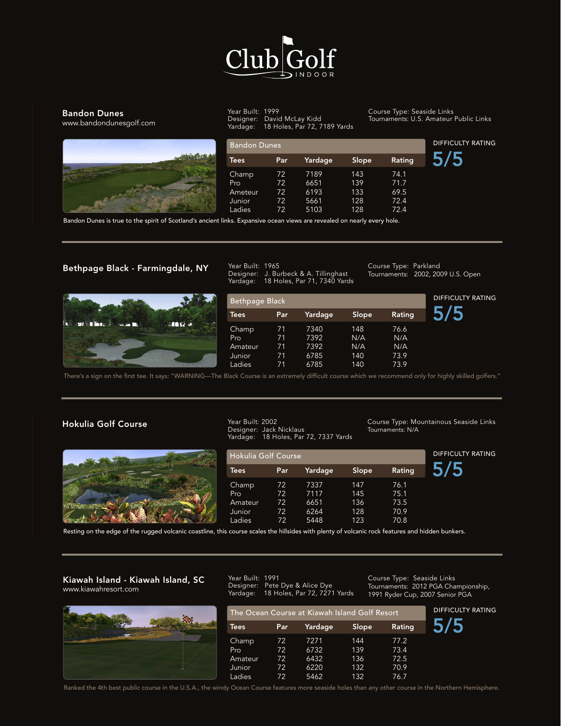

#### Bandon Dunes

www.bandondunesgolf.com

Hokulia Golf Course



Year Built: 1999 Designer: David McLay Kidd Yardage: 18 Holes, Par 72, 7189 Yards Course Type: Seaside Links Tournaments: U.S. Amateur Public Links

| <b>Bandon Dunes</b> |     |         |       |        | <b>DIFFICULTY RATING</b> |
|---------------------|-----|---------|-------|--------|--------------------------|
| <b>Tees</b>         | Par | Yardage | Slope | Rating |                          |
| Champ               | 72  | 7189    | 143   | 74.1   |                          |
| Pro                 | 72  | 6651    | 139   | 71.7   |                          |
| Ameteur             | 72  | 6193    | 133   | 69.5   |                          |
| Junior              | 72  | 5661    | 128   | 72.4   |                          |
| Ladies              | 72  | 5103    | 128   | 72.4   |                          |

Bandon Dunes is true to the spirit of Scotland's ancient links. Expansive ocean views are revealed on nearly every hole.

FULL SWING GOLF SIMULATORS Single Courses : 2 Courses

Year Built: 2002

#### Bethpage Black - Farmingdale, NY



Kiawah Island - Kiawah Island, SC

Year Built: 1965 Designer: J. Burbeck & A. Tillinghast Designer: J. Burbeck & A. Tillinghast<br>Yardage: 18 Holes, Par 71, 7340 Yards  $\begin{array}{c} \begin{array}{c} \hline \end{array} & \mathbf{F} & \mathbf{S} & \mathbf{H} \end{array}$ 

|                                                | Yardage:       |     | 18 Holes, Par 71, 7340 Yards |        |        | DIFFICULTY RATING |
|------------------------------------------------|----------------|-----|------------------------------|--------|--------|-------------------|
|                                                | Bethpage Black |     |                              |        |        |                   |
|                                                | <b>Tees</b>    | Par | Yardage                      | Slope, | Rating |                   |
| <b>Robert March</b><br>al te a<br><b>SALES</b> | Champ          | 71  | 7340                         | 148    | 76.6   |                   |
|                                                | Pro            | 71  | 7392                         | N/A    | N/A    |                   |
|                                                | Amateur        | 71  | 7392                         | N/A    | N/A    |                   |
|                                                | Junior         | 71  | 6785                         | 140    | 73.9   |                   |
|                                                | Ladies         | 71  | 6785                         | 140    | 73.9   |                   |

There's a sign on the first tee. It says: "WARNING—The Black Course is an extremely difficult course which we recommend only for highly skilled golfers." Lakeside Golf Course www.lakesidego.com lack Course is an extrem $\epsilon$ ack Course is an extremely difficult course which we recommend on

Year Built: 1991

#### Hokulia Golf Course

Lakeside Golf Course



The Ocean Course at Kiawah Island Golf Resort DIFFICULTY RATING Champ 71 6045 110 67.2 Designer: Jack Nicklaus Tees Par Yardage Slope Rating Year Built: 2002 Yardage: 18 Holes, Par 72, 7337 Yards

Hokulia Golf Course<br>Notia Golf Course **Mary Mary Mountainous Seaside Links** Tournaments: N/A

DIFFICULTY RATING

Course Type: Seaside Links

Course Type: Parkland

Tournaments: 2002, 2009 U.S. Open

Course Type: Mountainous Seaside Links

|                                    | Yardaqe:                                |                   | 18 Holes, Par 72, 7337 Yards |                                                                                                                                                                                                                                          |           |  |
|------------------------------------|-----------------------------------------|-------------------|------------------------------|------------------------------------------------------------------------------------------------------------------------------------------------------------------------------------------------------------------------------------------|-----------|--|
|                                    | <b>Hokulia Golf Course</b>              | DIFFICULTY RATING |                              |                                                                                                                                                                                                                                          |           |  |
|                                    | <b>Tees</b>                             | Par               | Yardage                      | Slope                                                                                                                                                                                                                                    | Rating    |  |
|                                    | Champ                                   | 72                | 7337                         | 147                                                                                                                                                                                                                                      | 76.1      |  |
|                                    | Pro                                     | 72                | 7117                         | 145                                                                                                                                                                                                                                      | 75.1      |  |
|                                    | Amateur                                 | 72                | 6651                         | 136                                                                                                                                                                                                                                      | 73.5      |  |
|                                    | Junior                                  | 72                | 6264                         | 128                                                                                                                                                                                                                                      | 70.9      |  |
| $\sim$<br>$\mathbf{r}$<br>.<br>. . | Ladies<br>$\mathbf{r}$ and $\mathbf{r}$ | 72<br>.           | 5448                         | 123<br>$\mathbf{r}$ , and the contract of the contract of the contract of the contract of the contract of the contract of the contract of the contract of the contract of the contract of the contract of the contract of the contract o | 70.8<br>. |  |

Resting on the edge of the rugged volcanic coastline, this course scales the hillsides with plenty of volcanic rock features and hidden bunkers.

Year Built: 1966

Laures

#### Kiawah Island - Kiawah Island, SC www.kiawahresort.com



Amateur 70 5703 123 69.7 Designer: Pete Dye & Alice Dye lournaments<br>Karl assessed 10 Holland David 2021 Varily  $\frac{1}{2}$  and  $\frac{1}{2}$  and  $\frac{1}{2}$   $\frac{1}{2}$   $\frac{1}{2}$   $\frac{1}{2}$  and  $\frac{1}{2}$   $\frac{1}{2}$   $\frac{1}{2}$   $\frac{1}{2}$   $\frac{1}{2}$   $\frac{1}{2}$   $\frac{1}{2}$   $\frac{1}{2}$   $\frac{1}{2}$   $\frac{1}{2}$   $\frac{1}{2}$   $\frac{1}{2}$   $\frac{1}{2}$   $\frac{1}{2}$   $\frac{1}{2}$ Designer: Pete Dye & Alice Dye  $\frac{1}{2}$   $\frac{1}{2}$   $\frac{1}{2}$   $\frac{1}{2}$   $\frac{1}{2}$   $\frac{1}{2}$   $\frac{1}{2}$   $\frac{1}{2}$   $\frac{1}{2}$   $\frac{1}{2}$   $\frac{1}{2}$   $\frac{1}{2}$   $\frac{1}{2}$   $\frac{1}{2}$   $\frac{1}{2}$   $\frac{1}{2}$   $\frac{1}{2}$   $\frac{1}{2}$   $\frac{1}{2}$   $\frac{1}{2}$   $\frac{1}{2}$   $\frac{1}{2}$  Year Built: 1991<br>Designer: Pete Yardage: 18 Holes, Par 72, 7271 Yards

There's a sign on the first telecometric telecometric telecometric course which we recommend only for highly skilled golfers."

Course Type: Seaside Links<br>Taureareasta: 2012 BCA Championabin 1991 Ryder Cup, 2007 Senior PGA<br>محتمد المتحدد المسلمين Tournaments: 2012 PGA Championship,

Course Type: Parkland

 $\overline{\phantom{a}}$ .

4/5

| The Ocean Course at Kiawah Island Golf Resort | <b>DIFFICULTY RATING</b> |         |       |        |  |
|-----------------------------------------------|--------------------------|---------|-------|--------|--|
| Tees                                          | Par                      | Yardage | Slope | Rating |  |
| Champ                                         | 72.                      | 7271    | 144   | 77.2   |  |
| Pro                                           | 72                       | 6732    | 139   | 73.4   |  |
| Amateur                                       | 72                       | 6432    | 136   | 72.5   |  |
| Junior                                        | 72                       | 6220    | 132   | 70.9   |  |
| Ladies                                        | 72                       | 5462    | 132   | 76.7   |  |

warked the 4th best public c , Ocean Course features mo Ranked the 4th best public course in the U.S.A., the windy Ocean Course features more seaside holes than any other course in the Northern Hemisphere.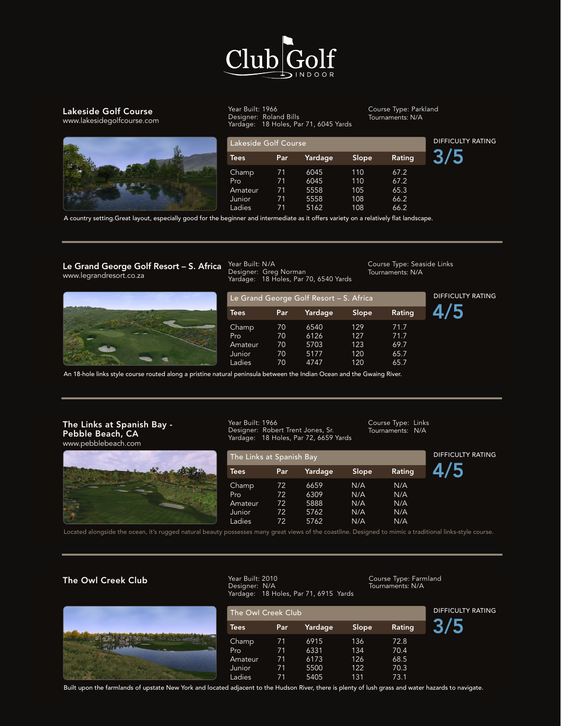

# Lakeside Golf Course

www.lakesidegolfcourse.com



Year Built: 1966 Designer: Roland Bills Edit Coastline, the edge of the rugged volcanic coastline, the rugged volcanic rock features with plenty rock features and hidden bunkers. N/A

Course Type: Parkland Tournaments: N/A  $\overline{C}$   $\overline{C}$   $\overline{T}$ 

Course Type: Seaside Links

Tournaments: N/A

Course Type: Seaside Links<br>Tournaments: N/A

| www.iakesidegoricodise.com |                      |                   | Yardage:   18 Holes, Par 71, 6045 Yards |       |        |  |
|----------------------------|----------------------|-------------------|-----------------------------------------|-------|--------|--|
|                            | Lakeside Golf Course | DIFFICULTY RATING |                                         |       |        |  |
|                            | <b>Tees</b>          | Par               | Yardage                                 | Slope | Rating |  |
|                            | Champ                | 71                | 6045                                    | 110   | 67.2   |  |
|                            | Pro                  | 71                | 6045                                    | 110   | 67.2   |  |
|                            | Amateur              | 71                | 5558                                    | 105   | 65.3   |  |
|                            | Junior               | 71                | 5558                                    | 108   | 66.2   |  |
|                            | Ladies               | 71                | 5162                                    | 108   | 66.2   |  |

.<br>A country setting.Great layout, especially good for the beginner and intermediate as it offers variety on a relatively flat landscape.  $J$ 

Year Built: N/A

A country setting.Great layout, especially good for the beginner and intermediate as it offers variety on a relatively flat landscape.

#### Le Grand George Golf Resort – S. Africa Small greens and narrow fairways bordered by deep rough. There are spectacular ocean views from many of the holes. Water hugs many holes here. Le Grand George Golf Resort – S. Africa www.legrandresort.co.za

Le Grand George Golf Resort – S. Africa



ear Built: N/A **Course Type** Year Built: N/A Designer: Greg Norman Yardage: 18 Holes, Par 70, 6540 Yards

| ----          | Yardaqe:    |     | 18 Holes, Par 70, 6540 Yards            |       |        |                          |
|---------------|-------------|-----|-----------------------------------------|-------|--------|--------------------------|
|               |             |     | Le Grand George Golf Resort - S. Africa |       |        | <b>DIFFICULTY RATING</b> |
|               | <b>Tees</b> | Par | Yardage                                 | Slope | Rating |                          |
|               | Champ       | 70  | 6540                                    | 129   | 71.7   |                          |
|               | Pro         | 70  | 6126                                    | 127   | 71.7   |                          |
|               | Amateur     | 70  | 5703                                    | 123   | 69.7   |                          |
|               | Junior      | 70  | 5177                                    | 120   | 65.7   |                          |
| <b>NATION</b> | Ladies      | 70  | 4747                                    | 120   | 65.7   |                          |

An 18-hole links style course routed along a pristine natural peninsula between the Indian Ocean and the Gwaing River.

#### The Links at Spanish Bay - Pebble Beach, CA www.pebblebeach.com



Year Built: 1966 Designer: Robert Trent Jones, Sr. Yardage: 18 Holes, Par 72, 6659 Yards Course Type: Links Tournaments: N/A

| The Links at Spanish Bay |     |         |       |        |
|--------------------------|-----|---------|-------|--------|
| <b>Tees</b>              | Par | Yardage | Slope | Rating |
| Champ                    | 72  | 6659    | N/A   | N/A    |
| Pro                      | 72  | 6309    | N/A   | N/A    |
| Amateur                  | 72  | 5888    | N/A   | N/A    |
| Junior                   | 72  | 5762    | N/A   | N/A    |
| Ladies                   | 72  | 5762    | N/A   | N/A    |

Located alongside the ocean, it's rugged natural beauty possesses many great views of the coastline. Designed to mimic a traditional links-style cour

### The Owl Creek Club

12 Courses



Year Built: 2010 Designer: N/A Yardage: 18 Holes, Par 71, 6915 Yards Course Type: Farmland Tournaments: N/A

| The Owl Creek Club |     |         |       |        | <b>DIFFICULTY RATING</b> |
|--------------------|-----|---------|-------|--------|--------------------------|
| <b>Tees</b>        | Par | Yardage | Slope | Rating |                          |
| <b>Champ</b>       | 71  | 6915    | 136   | 72.8   |                          |
| Pro.               | 71  | 6331    | 134   | 70.4   |                          |
| Amateur            | 71  | 6173    | 126   | 68.5   |                          |
| Junior             | 71  | 5500    | 122   | 70.3   |                          |
| Ladies             | 71  | 5405    | 131   | 73.1   |                          |

Built upon the farmlands of upstate New York and located adjacent to the Hudson River, there is plenty of lush grass and water hazards to navigate.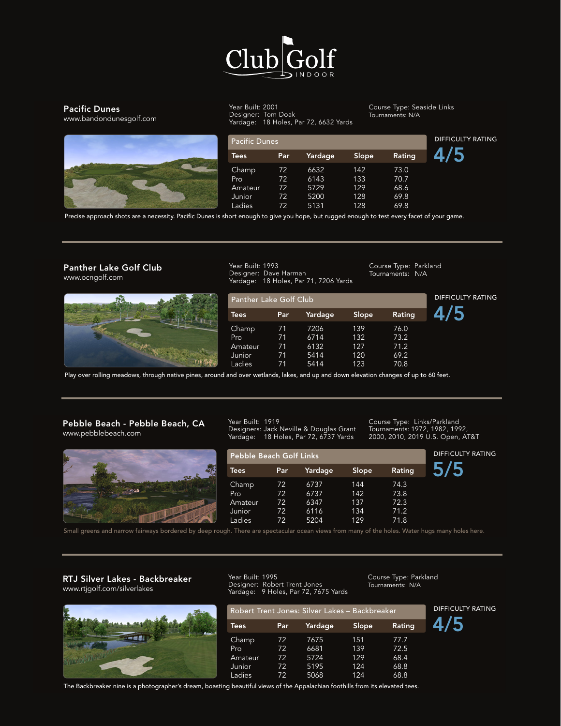

## Pacific Dunes



Built upon the farmlands of upstate New York and located adjacent to the Hudson River, there is plenty of lush grass and water hazards to navigate. www.bandondunesgolf.com Year Built: 2001 **131 131 131 131 131 132.1 132.1 132.1 132.1** Course Type Designer: Tom Doak Yardage: 18 Holes, Par 72, 6632 Yards

Course Type: Seaside Links Tournaments: N/A

| <b>Pacific Dunes</b> |     |         |       |        | <b>DIFFICULTY RATING</b> |
|----------------------|-----|---------|-------|--------|--------------------------|
| <b>Tees</b>          | Par | Yardage | Slope | Rating |                          |
| Champ                | 72  | 6632    | 142   | 73.0   |                          |
| Pro                  | 72  | 6143    | 133   | 70.7   |                          |
| Amateur              | 72  | 5729    | 129   | 68.6   |                          |
| Junior               | 72  | 5200    | 128   | 69.8   |                          |
| Ladies               | 72  | 5131    | 128   | 69.8   |                          |

Precise approach shots are a necessity. Pacific Dunes is short enough to give you hope, but rugged enough to test every facet of your game.

Designer: Dave Harman

#### Panther Lake Golf Club www.ocngolf.com

Panther Lake Golf Club



3 Courses



Year Built: 1993 1ear Dunt. 1775<br>Designer: Dave Harman Yardage: 18 Holes, Par 71, 7206 Yards

Course Type: Parkland Tournaments: N/A

Tournaments: N/A

Course Type: Parkland

| Panther Lake Golf Club      | DIFFICULTY RATING |                      |                         |                      |  |
|-----------------------------|-------------------|----------------------|-------------------------|----------------------|--|
| <b>Tees</b>                 | Par               | Yardage              | Slope                   | Rating               |  |
| Champ<br>Pro                | 71<br>71          | 7206<br>6714         | 139<br>132 <sub>1</sub> | 76.0<br>73.2         |  |
| Amateur<br>Junior<br>Ladies | 71<br>71<br>71    | 6132<br>5414<br>5414 | 127<br>120<br>123       | 71.2<br>69.2<br>70.8 |  |

Play over rolling meadows, through native pines, around and over wetlands, lakes, and up and down elevation changes of up to 60 feet.<br>Play over rolling meadows, through native pines, around and over wetlands, lakes, and up Play over rolling meadows, through native pines, around and over wetlands, lakes, and up a nd over wetlands, lakes, and up and down elevation changes of up to

Year Built: 1928

#### Pebble Beach - Pebble Beach, CA www.pebblebeach.com

RTJ Silver Lakes - Heartbreaker



Year Built: 1919 Designers: Jack Neville & Douglas Grant Yardage: 18 Holes, Par 72, 6737 Yards 2000, 2010, 20<br> Designers: Jack Neville & Douglas Grant - Tournaments ardage: 18 Holes, Par 72, 6737 Yards 2000, 2010,

Robert Trent Jones: Silver Lakes - Heartbreaker

Course Type: Links/Parkland Tournaments: 1972, 1982, 1992, 2000, 2010, 2019 U.S. Open, AT&T 982 1992 ear Built: 1919<br>Course Type: Links/Parkland

DIFFICULTY RATING

**Y RATING** 

| www.pepplebeach.com                                                                                                                            | Yardage:                                                   |          | 18 Holes, Par 72, 6737 Yards |            |              | 2000, 2010, 2019 U.S. Open, AT&T |  |
|------------------------------------------------------------------------------------------------------------------------------------------------|------------------------------------------------------------|----------|------------------------------|------------|--------------|----------------------------------|--|
|                                                                                                                                                | <b>DIFFICULTY RATING</b><br><b>Pebble Beach Golf Links</b> |          |                              |            |              |                                  |  |
|                                                                                                                                                | Tees <sup>1</sup>                                          | Par      | Yardage                      | Slope      | Rating       |                                  |  |
|                                                                                                                                                | Champ<br>Pro                                               | 72<br>72 | 6737<br>6737                 | 144<br>142 | 74.3<br>73.8 |                                  |  |
|                                                                                                                                                | Amateur<br>Junior                                          | 72<br>72 | 6347<br>6116                 | 137<br>134 | 72.3<br>71.2 |                                  |  |
| Small greens and narrow fairways bordered by deep rough. There are spectacular ocean views from many of the holes. Water hugs many holes here, | Ladies                                                     | 72       | 5204                         | 129        | 71.8         |                                  |  |

Small greens and narrow fairways bordered by deep rough

Year Built: 1966

Although slightly easier than the other two courses at Silver Lakes, this course demands shot-making at its finest.

#### RTJ Silver Lakes - Backbreaker www.rtjgolf.com/silverlakes

Spyglass Hill - Pebble Beach, CA



Designer: Robert Trent Jones Year Built: 1995 Yardage: 9 Holes, Par 72, 7675 Yards

Course Type: Parkland Tournaments: N/A

Course Type: Links/Parkland

|             |     | Yardage: 9 Holes, Par 72, 7675 Yards           |       |               |                  |
|-------------|-----|------------------------------------------------|-------|---------------|------------------|
|             |     | Robert Trent Jones: Silver Lakes - Backbreaker |       |               | <b>DIFFICULT</b> |
| <b>Tees</b> | Par | Yardage                                        | Slope | <b>Rating</b> |                  |
| Champ       | 72  | 7675                                           | 151   | 77.7          |                  |
| Pro         | 72  | 6681                                           | 139   | 72.5          |                  |
| Amateur     | 72  | 5724                                           | 129   | 68.4          |                  |
| Junior      | 72  | 5195                                           | 124   | 68.8          |                  |
| Ladies      | 72  | 5068                                           | 124   | 68.8          |                  |

 $\frac{P}{P}$  Packbieaker nine is a 3 beautiful views of the Appalachian f The Backbreaker nine is a photographer's dream, boasting beautiful views of the Appalachian foothills from its elevated tees.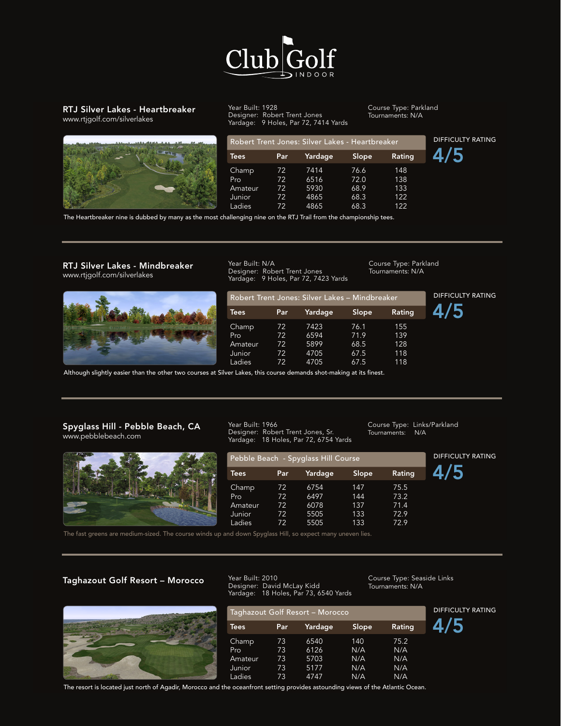

#### RTJ Silver Lakes - Heartbreaker www.rtjgolf.com/silverlakes



Year Built: 1928 Designer: Robert Trent Jones Yardage: 9 Holes, Par 72, 7414 Yards Course Type: Parkland Tournaments: N/A

Course Type: Parkland Tournaments: N/A

Tournaments: N/A

Tournaments: N/A

Course Type: Parkland

|             |     | Robert Trent Jones: Silver Lakes - Heartbreaker |       |        |  |  |
|-------------|-----|-------------------------------------------------|-------|--------|--|--|
| <b>Tees</b> | Par | Yardage                                         | Slope | Rating |  |  |
| Champ       | 72  | 7414                                            | 76.6  | 148    |  |  |
| Pro.        | 72  | 6516                                            | 72.0  | 138    |  |  |
| Amateur     | 72  | 5930                                            | 68.9  | 133    |  |  |
| Junior      | 72  | 4865                                            | 68.3  | 122    |  |  |
| Ladies      | 72  | 4865                                            | 68.3  | 122    |  |  |

The Heartbreaker nine is dubbed by many as the most challenging nine on the RTJ Trail from the championship tees.

## RTJ Silver Lakes - Mindbreaker Mear Built: N/A<br>Designer: Robert Trent Jones Tournaments: N/A www.rtjgolf.com/silverlakes

12 Courses



Year Built: N/A Designer: Robert Trent Jones Yardage: 9 Holes, Par 72, 7423 Yards

| . .         |     |                                                |       |        |
|-------------|-----|------------------------------------------------|-------|--------|
|             |     | Robert Trent Jones: Silver Lakes - Mindbreaker |       |        |
| <b>Tees</b> | Par | Yardage                                        | Slope | Rating |
| Champ       | 72  | 7423                                           | 76.1  | 155    |
| <b>Pro</b>  | 72  | 6594                                           | 71.9  | 139    |
| Amateur     | 72  | 5899                                           | 68.5  | 128    |
| Junior      | 72  | 4705                                           | 67.5  | 118    |
| Ladies      | 72  | 4705                                           | 67.5  | 118    |

Although slightly easier than the other two courses at Silver Lakes, this course demands shot-making at its finest. Pro 72 6737 142 73.8 er Lakes, this course demands shot-making at its finest.

#### Spyglass Hill - Pebble Beach, CA The Mear Built: 1966<br>Annunghblokeerb.com at Designer: Robert Trent Jones, Sr. Tournamei Spyglass Hill - Pebble Beach, CA www.pebblebeach.com

RTJ Silver Lakes - Backbreaker



Pebble Beach - Spyglass Hill Course Year Built: 1995

Yardage: 18 Holes, Par 72, 6754 Yards

Ladies 72 5204 129 71.8

Amateur 72 5899 68.5 128

Designer: Robert Trent Jones

Year Built: 1966

 $\overline{\phantom{a}}$ 

|             |              | report Beach opyglass rim esarse |       |        |  |
|-------------|--------------|----------------------------------|-------|--------|--|
| <b>Tees</b> | Par          | Yardage                          | Slope | Rating |  |
| Champ       | $72^{\circ}$ | 6754                             | 147   | 75.5   |  |
| Pro         | 72           | 6497                             | 144   | 73.2   |  |
| Amateur     | 72           | 6078                             | 137   | 71.4   |  |
| Junior      | 72           | 5505                             | 133   | 72.9   |  |
| Ladies      | 72           | 5505                             | 133   | 72.9   |  |

DIFFICULTY RATING Course Type: Links/Parkland Ladies 72 4705 67.5 118

The fast greens are medium-sized. The course winds up and down Spyglass Hill, so expect many uneven lies. a dan up gaar 12 mpaal 124 yang lain noon

# .<br>Taghazout Golf Resort – Morocco

The Links at Spanish Bay -



Champ 73 6540 140 75.2 Designer: David McLay Kidd Tournaments:<br>Yardage: 18 Holes, Par 73, 6540 Yards Year Built: 2010 Yardage: 18 Holes, Par 73, 6540 Yards

Taghazout Golf Resort – Morocco

e I inks Course Type: Seaside Links<br>Tournaments: N/A Tournaments: N/A

Course Type: Links

DIFFICULTY RATING

DIFFICULTY RATING

|             |      | Yardage: 18 Holes, Par 73, 6540 Yards |       |        |                          |
|-------------|------|---------------------------------------|-------|--------|--------------------------|
|             |      | Taghazout Golf Resort - Morocco       |       |        | <b>DIFFICULTY RATING</b> |
| <b>Tees</b> | Par. | Yardage                               | Slope | Rating |                          |
| Champ       | 73   | 6540                                  | 140   | 75.2   |                          |
| Pro         | 73   | 6126                                  | N/A   | N/A    |                          |
| Amateur     | 73   | 5703                                  | N/A   | N/A    |                          |
| Junior      | 73   | 5177                                  | N/A   | N/A    |                          |
| Ladies      | 73   | 4747                                  | N/A   | N/A    |                          |

The resort is located just north of Agadir, Morocco and the oceanfront setting provides astounding views of the Atlantic Ocean.